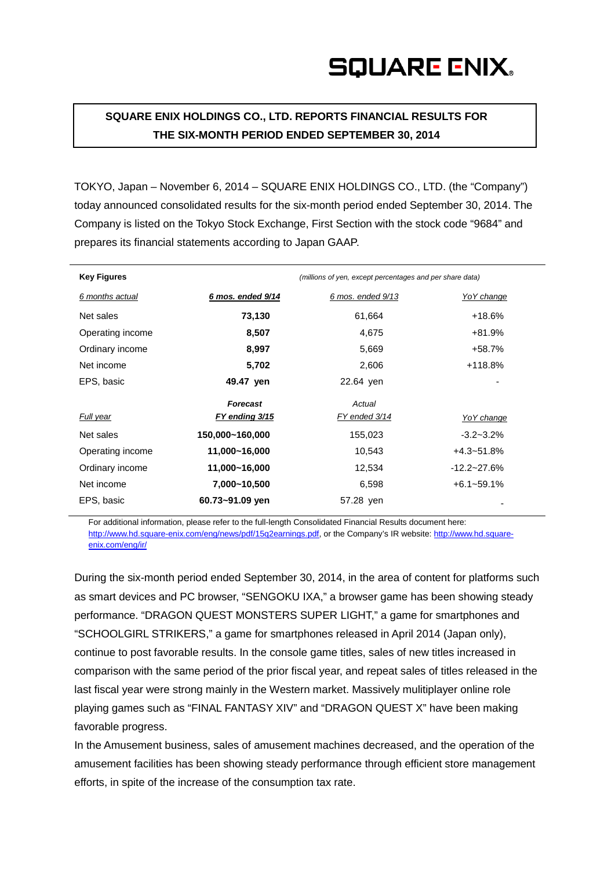**SQUARE ENIX HOLDINGS CO., LTD. REPORTS FINANCIAL RESULTS FOR THE SIX-MONTH PERIOD ENDED SEPTEMBER 30, 2014**

TOKYO, Japan – November 6, 2014 – SQUARE ENIX HOLDINGS CO., LTD. (the "Company") today announced consolidated results for the six-month period ended September 30, 2014. The Company is listed on the Tokyo Stock Exchange, First Section with the stock code "9684" and prepares its financial statements according to Japan GAAP.

| <b>Key Figures</b> |                   | (millions of yen, except percentages and per share data) |                 |
|--------------------|-------------------|----------------------------------------------------------|-----------------|
| 6 months actual    | 6 mos. ended 9/14 | 6 mos. ended 9/13                                        | YoY change      |
| Net sales          | 73,130            | 61,664                                                   | +18.6%          |
| Operating income   | 8,507             | 4,675                                                    | +81.9%          |
| Ordinary income    | 8,997             | 5,669                                                    | +58.7%          |
| Net income         | 5,702             | 2,606                                                    | +118.8%         |
| EPS, basic         | 49.47 yen         | 22.64 yen                                                |                 |
|                    | <b>Forecast</b>   | Actual                                                   |                 |
| Full year          | FY ending 3/15    | FY ended 3/14                                            | YoY change      |
| Net sales          | 150,000~160,000   | 155,023                                                  | $-3.2 - 3.2%$   |
| Operating income   | 11,000~16,000     | 10,543                                                   | $+4.3 - 51.8%$  |
| Ordinary income    | 11,000~16,000     | 12,534                                                   | $-12.2 - 27.6%$ |
| Net income         | 7,000~10,500      | 6,598                                                    | $+6.1 - 59.1%$  |
| EPS, basic         | 60.73~91.09 yen   | 57.28 yen                                                |                 |

For additional information, please refer to the full-length Consolidated Financial Results document here: http://www.hd.square-enix.com/eng/news/pdf/15q2earnings.pdf, or the Company's IR website: [http://www.hd.square](http://www.hd.square-enix.com/eng/ir/)[enix.com/eng/ir/](http://www.hd.square-enix.com/eng/ir/)

During the six-month period ended September 30, 2014, in the area of content for platforms such as smart devices and PC browser, "SENGOKU IXA," a browser game has been showing steady performance. "DRAGON QUEST MONSTERS SUPER LIGHT," a game for smartphones and "SCHOOLGIRL STRIKERS," a game for smartphones released in April 2014 (Japan only), continue to post favorable results. In the console game titles, sales of new titles increased in comparison with the same period of the prior fiscal year, and repeat sales of titles released in the last fiscal year were strong mainly in the Western market. Massively mulitiplayer online role playing games such as "FINAL FANTASY XIV" and "DRAGON QUEST X" have been making favorable progress.

In the Amusement business, sales of amusement machines decreased, and the operation of the amusement facilities has been showing steady performance through efficient store management efforts, in spite of the increase of the consumption tax rate.